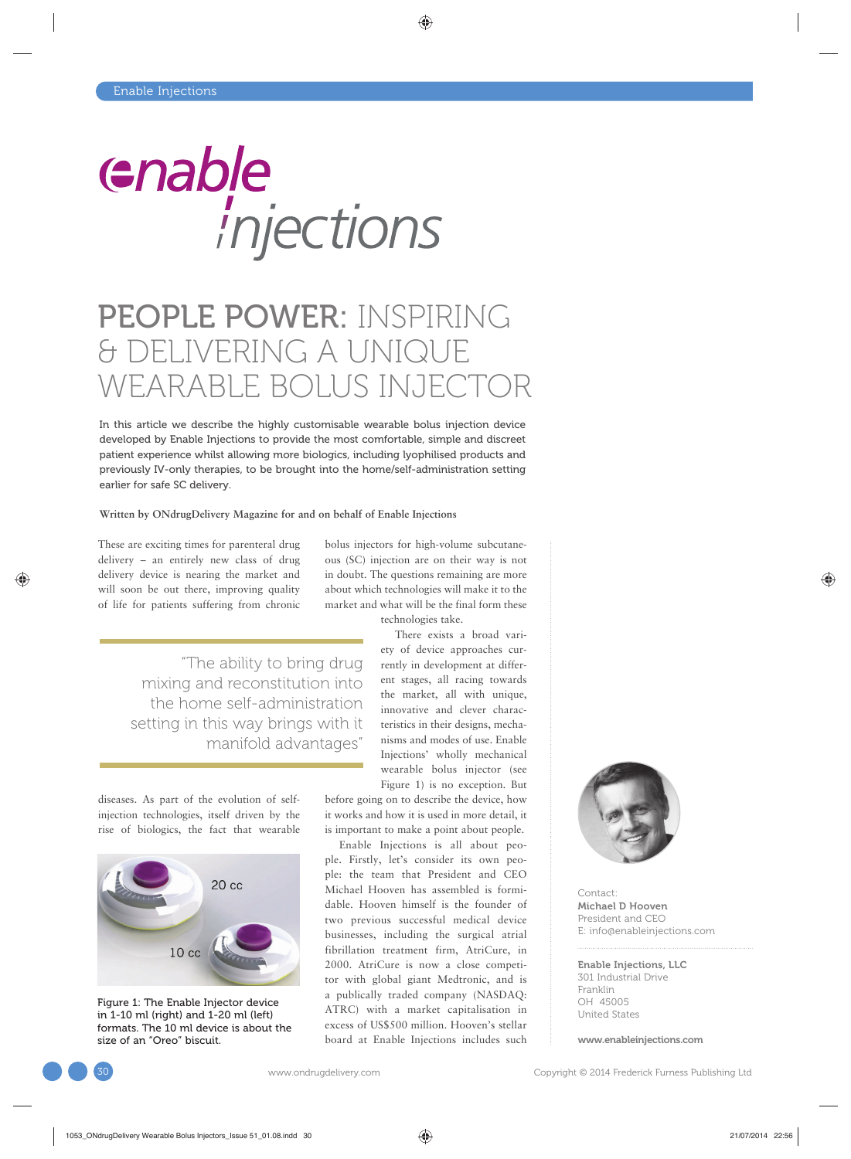

# PEOPLE POWER: INSPIRING & DELIVERING A UNIQUE WEARABLE BOLUS INJECTOR

In this article we describe the highly customisable wearable bolus injection device developed by Enable Injections to provide the most comfortable, simple and discreet patient experience whilst allowing more biologics, including lyophilised products and previously IV-only therapies, to be brought into the home/self-administration setting earlier for safe SC delivery.

#### **Written by ONdrugDelivery Magazine for and on behalf of Enable Injections**

These are exciting times for parenteral drug delivery – an entirely new class of drug delivery device is nearing the market and will soon be out there, improving quality of life for patients suffering from chronic

> "The ability to bring drug mixing and reconstitution into the home self-administration setting in this way brings with it manifold advantages"

diseases. As part of the evolution of selfinjection technologies, itself driven by the rise of biologics, the fact that wearable



Figure 1: The Enable Injector device in 1-10 ml (right) and 1-20 ml (left) formats. The 10 ml device is about the size of an "Oreo" biscuit.

bolus injectors for high-volume subcutaneous (SC) injection are on their way is not in doubt. The questions remaining are more about which technologies will make it to the market and what will be the final form these technologies take.

There exists a broad variety of device approaches currently in development at different stages, all racing towards the market, all with unique, innovative and clever characteristics in their designs, mechanisms and modes of use. Enable Injections' wholly mechanical wearable bolus injector (see Figure 1) is no exception. But

before going on to describe the device, how it works and how it is used in more detail, it is important to make a point about people.

Enable Injections is all about people. Firstly, let's consider its own people: the team that President and CEO Michael Hooven has assembled is formidable. Hooven himself is the founder of two previous successful medical device businesses, including the surgical atrial fibrillation treatment firm, AtriCure, in 2000. AtriCure is now a close competitor with global giant Medtronic, and is a publically traded company (NASDAQ: ATRC) with a market capitalisation in excess of US\$500 million. Hooven's stellar board at Enable Injections includes such



Contact: Michael D Hooven President and CEO E: info@enableinjections.com

Enable Injections, LLC 301 Industrial Drive Franklin OH 45005 United States

www.enableinjections.com

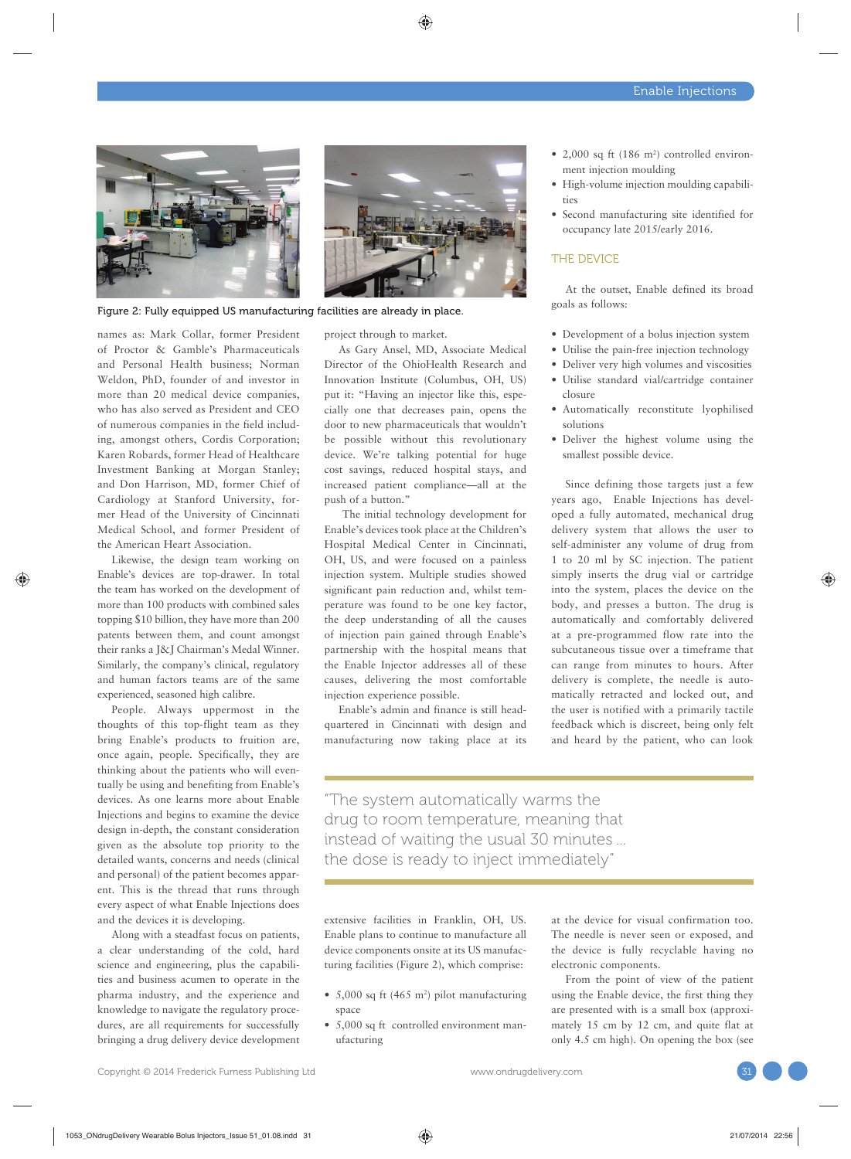

Figure 2: Fully equipped US manufacturing facilities are already in place.

names as: Mark Collar, former President of Proctor & Gamble's Pharmaceuticals and Personal Health business; Norman Weldon, PhD, founder of and investor in more than 20 medical device companies, who has also served as President and CEO of numerous companies in the field including, amongst others, Cordis Corporation; Karen Robards, former Head of Healthcare Investment Banking at Morgan Stanley; and Don Harrison, MD, former Chief of Cardiology at Stanford University, former Head of the University of Cincinnati Medical School, and former President of the American Heart Association.

Likewise, the design team working on Enable's devices are top-drawer. In total the team has worked on the development of more than 100 products with combined sales topping \$10 billion, they have more than 200 patents between them, and count amongst their ranks a J&J Chairman's Medal Winner. Similarly, the company's clinical, regulatory and human factors teams are of the same experienced, seasoned high calibre.

People. Always uppermost in the thoughts of this top-flight team as they bring Enable's products to fruition are, once again, people. Specifically, they are thinking about the patients who will eventually be using and benefiting from Enable's devices. As one learns more about Enable Injections and begins to examine the device design in-depth, the constant consideration given as the absolute top priority to the detailed wants, concerns and needs (clinical and personal) of the patient becomes apparent. This is the thread that runs through every aspect of what Enable Injections does and the devices it is developing.

Along with a steadfast focus on patients, a clear understanding of the cold, hard science and engineering, plus the capabilities and business acumen to operate in the pharma industry, and the experience and knowledge to navigate the regulatory procedures, are all requirements for successfully bringing a drug delivery device development project through to market.

As Gary Ansel, MD, Associate Medical Director of the OhioHealth Research and Innovation Institute (Columbus, OH, US) put it: "Having an injector like this, especially one that decreases pain, opens the door to new pharmaceuticals that wouldn't be possible without this revolutionary device. We're talking potential for huge cost savings, reduced hospital stays, and increased patient compliance—all at the push of a button."

 The initial technology development for Enable's devices took place at the Children's Hospital Medical Center in Cincinnati, OH, US, and were focused on a painless injection system. Multiple studies showed significant pain reduction and, whilst temperature was found to be one key factor, the deep understanding of all the causes of injection pain gained through Enable's partnership with the hospital means that the Enable Injector addresses all of these causes, delivering the most comfortable injection experience possible.

Enable's admin and finance is still headquartered in Cincinnati with design and manufacturing now taking place at its

- 2,000 sq ft (186 m<sup>2</sup>) controlled environment injection moulding
- High-volume injection moulding capabilities
- Second manufacturing site identified for occupancy late 2015/early 2016.

#### THE DEVICE

At the outset, Enable defined its broad goals as follows:

- Development of a bolus injection system
- Utilise the pain-free injection technology
- Deliver very high volumes and viscosities
- Utilise standard vial/cartridge container closure
- Automatically reconstitute lyophilised solutions
- Deliver the highest volume using the smallest possible device.

Since defining those targets just a few years ago, Enable Injections has developed a fully automated, mechanical drug delivery system that allows the user to self-administer any volume of drug from 1 to 20 ml by SC injection. The patient simply inserts the drug vial or cartridge into the system, places the device on the body, and presses a button. The drug is automatically and comfortably delivered at a pre-programmed flow rate into the subcutaneous tissue over a timeframe that can range from minutes to hours. After delivery is complete, the needle is automatically retracted and locked out, and the user is notified with a primarily tactile feedback which is discreet, being only felt and heard by the patient, who can look

"The system automatically warms the drug to room temperature, meaning that instead of waiting the usual 30 minutes ... the dose is ready to inject immediately"

extensive facilities in Franklin, OH, US. Enable plans to continue to manufacture all device components onsite at its US manufacturing facilities (Figure 2), which comprise:

- $5,000$  sq ft (465 m<sup>2</sup>) pilot manufacturing space
- 5,000 sq ft controlled environment manufacturing

at the device for visual confirmation too. The needle is never seen or exposed, and the device is fully recyclable having no electronic components.

From the point of view of the patient using the Enable device, the first thing they are presented with is a small box (approximately 15 cm by 12 cm, and quite flat at only 4.5 cm high). On opening the box (see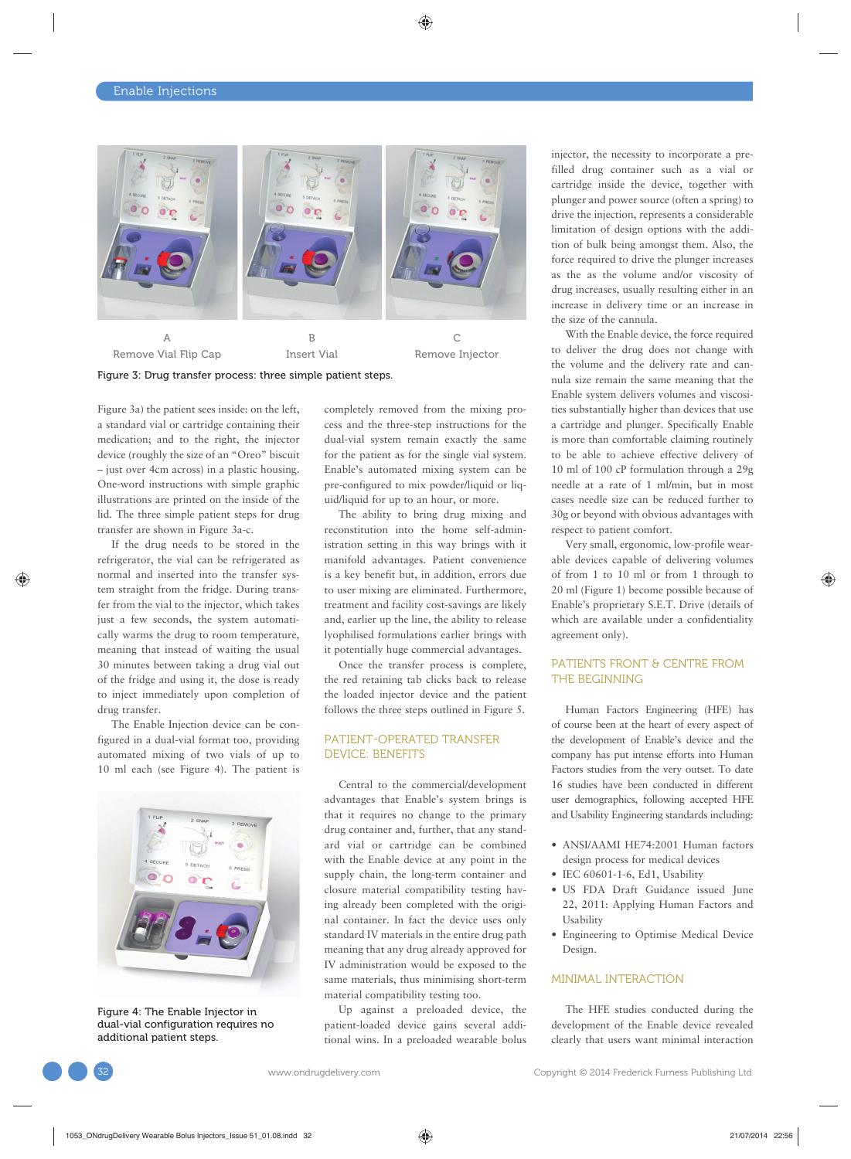

Remove Vial Flip Cap Insert Vial Remove Injector

Figure 3: Drug transfer process: three simple patient steps.

Figure 3a) the patient sees inside: on the left, a standard vial or cartridge containing their medication; and to the right, the injector device (roughly the size of an "Oreo" biscuit – just over 4cm across) in a plastic housing. One-word instructions with simple graphic illustrations are printed on the inside of the lid. The three simple patient steps for drug transfer are shown in Figure 3a-c.

If the drug needs to be stored in the refrigerator, the vial can be refrigerated as normal and inserted into the transfer system straight from the fridge. During transfer from the vial to the injector, which takes just a few seconds, the system automatically warms the drug to room temperature, meaning that instead of waiting the usual 30 minutes between taking a drug vial out of the fridge and using it, the dose is ready to inject immediately upon completion of drug transfer.

The Enable Injection device can be configured in a dual-vial format too, providing automated mixing of two vials of up to 10 ml each (see Figure 4). The patient is



Figure 4: The Enable Injector in dual-vial configuration requires no additional patient steps.

completely removed from the mixing process and the three-step instructions for the dual-vial system remain exactly the same for the patient as for the single vial system. Enable's automated mixing system can be pre-configured to mix powder/liquid or liquid/liquid for up to an hour, or more.

The ability to bring drug mixing and reconstitution into the home self-administration setting in this way brings with it manifold advantages. Patient convenience is a key benefit but, in addition, errors due to user mixing are eliminated. Furthermore, treatment and facility cost-savings are likely and, earlier up the line, the ability to release lyophilised formulations earlier brings with it potentially huge commercial advantages.

Once the transfer process is complete, the red retaining tab clicks back to release the loaded injector device and the patient follows the three steps outlined in Figure 5.

### PATIENT-OPERATED TRANSFER DEVICE: BENEFITS

Central to the commercial/development advantages that Enable's system brings is that it requires no change to the primary drug container and, further, that any standard vial or cartridge can be combined with the Enable device at any point in the supply chain, the long-term container and closure material compatibility testing having already been completed with the original container. In fact the device uses only standard IV materials in the entire drug path meaning that any drug already approved for IV administration would be exposed to the same materials, thus minimising short-term material compatibility testing too.

Up against a preloaded device, the patient-loaded device gains several additional wins. In a preloaded wearable bolus injector, the necessity to incorporate a prefilled drug container such as a vial or cartridge inside the device, together with plunger and power source (often a spring) to drive the injection, represents a considerable limitation of design options with the addition of bulk being amongst them. Also, the force required to drive the plunger increases as the as the volume and/or viscosity of drug increases, usually resulting either in an increase in delivery time or an increase in the size of the cannula.

With the Enable device, the force required to deliver the drug does not change with the volume and the delivery rate and cannula size remain the same meaning that the Enable system delivers volumes and viscosities substantially higher than devices that use a cartridge and plunger. Specifically Enable is more than comfortable claiming routinely to be able to achieve effective delivery of 10 ml of 100 cP formulation through a 29g needle at a rate of 1 ml/min, but in most cases needle size can be reduced further to 30g or beyond with obvious advantages with respect to patient comfort.

Very small, ergonomic, low-profile wearable devices capable of delivering volumes of from 1 to 10 ml or from 1 through to 20 ml (Figure 1) become possible because of Enable's proprietary S.E.T. Drive (details of which are available under a confidentiality agreement only).

## PATIENTS FRONT & CENTRE FROM THE BEGINNING

Human Factors Engineering (HFE) has of course been at the heart of every aspect of the development of Enable's device and the company has put intense efforts into Human Factors studies from the very outset. To date 16 studies have been conducted in different user demographics, following accepted HFE and Usability Engineering standards including:

- ANSI/AAMI HE74:2001 Human factors design process for medical devices
- IEC 60601-1-6, Ed1, Usability
- US FDA Draft Guidance issued June 22, 2011: Applying Human Factors and Usability
- Engineering to Optimise Medical Device Design.

## MINIMAL INTERACTION

The HFE studies conducted during the development of the Enable device revealed clearly that users want minimal interaction